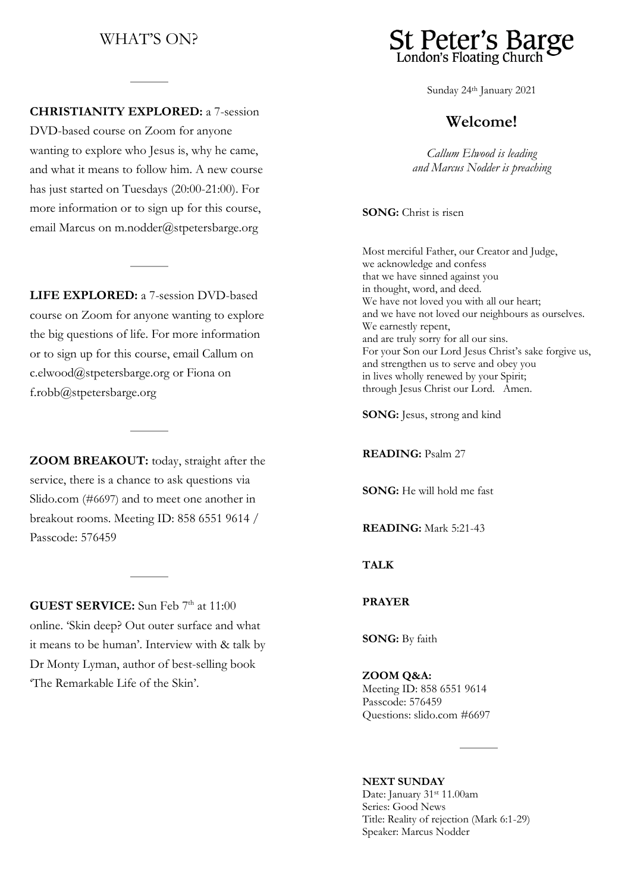# WHAT'S ON?

### **CHRISTIANITY EXPLORED:** a 7-session

DVD-based course on Zoom for anyone wanting to explore who Jesus is, why he came, and what it means to follow him. A new course has just started on Tuesdays (20:00-21:00). For more information or to sign up for this course, email Marcus on [m.nodder@stpetersbarge.org](mailto:m.nodder@stpetersbarge.org)

**LIFE EXPLORED:** a 7-session DVD-based course on Zoom for anyone wanting to explore the big questions of life. For more information or to sign up for this course, email Callum on [c.elwood@stpetersbarge.org](mailto:c.elwood@stpetersbarge.org) or Fiona on f.robb@stpetersbarge.org

**ZOOM BREAKOUT:** today, straight after the service, there is a chance to ask questions via Slido.com (#6697) and to meet one another in breakout rooms. Meeting ID: 858 6551 9614 / Passcode: 576459

**GUEST SERVICE:** Sun Feb 7<sup>th</sup> at 11:00 online. 'Skin deep? Out outer surface and what it means to be human'. Interview with & talk by Dr Monty Lyman, author of best-selling book 'The Remarkable Life of the Skin'.



Sunday 24th January 2021

### **Welcome!**

*Callum Elwood is leading and Marcus Nodder is preaching*

**SONG:** Christ is risen

Most merciful Father, our Creator and Judge, we acknowledge and confess that we have sinned against you in thought, word, and deed. We have not loved you with all our heart; and we have not loved our neighbours as ourselves. We earnestly repent, and are truly sorry for all our sins. For your Son our Lord Jesus Christ's sake forgive us, and strengthen us to serve and obey you in lives wholly renewed by your Spirit; through Jesus Christ our Lord. Amen.

**SONG:** Jesus, strong and kind

**READING:** Psalm 27

**SONG:** He will hold me fast

**READING:** Mark 5:21-43

**TALK** 

**PRAYER**

**SONG:** By faith

#### **ZOOM Q&A:**

Meeting ID: 858 6551 9614 Passcode: 576459 Questions: slido.com #6697

**NEXT SUNDAY** Date: January 31st 11.00am Series: Good News Title: Reality of rejection (Mark 6:1-29) Speaker: Marcus Nodder